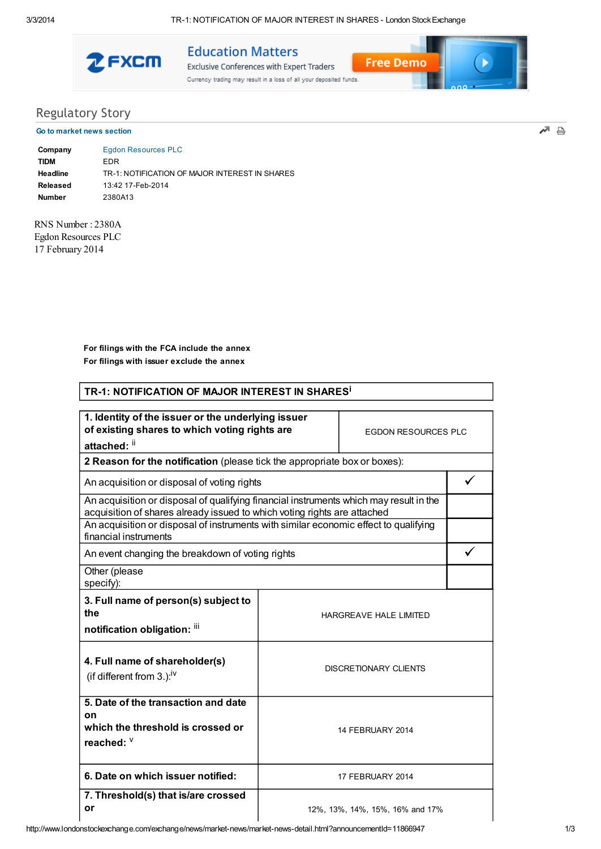TR-1: NOTIFICATION OF MAJOR INTEREST IN SHARES - London Stock Exchange



**Education Matters** 

Exclusive Conferences with Expert Traders Currency trading may result in a loss of all your deposited funds.



## **Regulatory Story** Go to market news section

교 즉

| Company       | Egdon Resources PLC                            |
|---------------|------------------------------------------------|
| <b>TIDM</b>   | FDR.                                           |
| Headline      | TR-1: NOTIFICATION OF MAJOR INTEREST IN SHARES |
| Released      | 13:42 17-Feb-2014                              |
| <b>Number</b> | 2380A13                                        |

RNS Number: 2380A Egdon Resources PLC 17 February 2014

> For filings with the FCA include the annex For filings with issuer exclude the annex

| TR-1: NOTIFICATION OF MAJOR INTEREST IN SHARES <sup>1</sup>                                                                                                                                                                                                                         |  |                                 |   |  |
|-------------------------------------------------------------------------------------------------------------------------------------------------------------------------------------------------------------------------------------------------------------------------------------|--|---------------------------------|---|--|
| 1. Identity of the issuer or the underlying issuer<br>of existing shares to which voting rights are<br><b>EGDON RESOURCES PLC</b><br>attached: ii                                                                                                                                   |  |                                 |   |  |
| 2 Reason for the notification (please tick the appropriate box or boxes):                                                                                                                                                                                                           |  |                                 |   |  |
| An acquisition or disposal of voting rights                                                                                                                                                                                                                                         |  |                                 | ✓ |  |
| An acquisition or disposal of qualifying financial instruments which may result in the<br>acquisition of shares already issued to which voting rights are attached<br>An acquisition or disposal of instruments with similar economic effect to qualifying<br>financial instruments |  |                                 |   |  |
| An event changing the breakdown of voting rights                                                                                                                                                                                                                                    |  |                                 |   |  |
| Other (please<br>specify):                                                                                                                                                                                                                                                          |  |                                 |   |  |
| 3. Full name of person(s) subject to<br>the<br>notification obligation: iii                                                                                                                                                                                                         |  | HARGREAVE HALE LIMITED          |   |  |
| 4. Full name of shareholder(s)<br>(if different from $3.$ ): <sup>iv</sup>                                                                                                                                                                                                          |  | <b>DISCRETIONARY CLIENTS</b>    |   |  |
| 5. Date of the transaction and date<br>on<br>which the threshold is crossed or<br>reached: V                                                                                                                                                                                        |  | 14 FEBRUARY 2014                |   |  |
| 6. Date on which issuer notified:                                                                                                                                                                                                                                                   |  | 17 FEBRUARY 2014                |   |  |
| 7. Threshold(s) that is/are crossed<br>or                                                                                                                                                                                                                                           |  | 12%, 13%, 14%, 15%, 16% and 17% |   |  |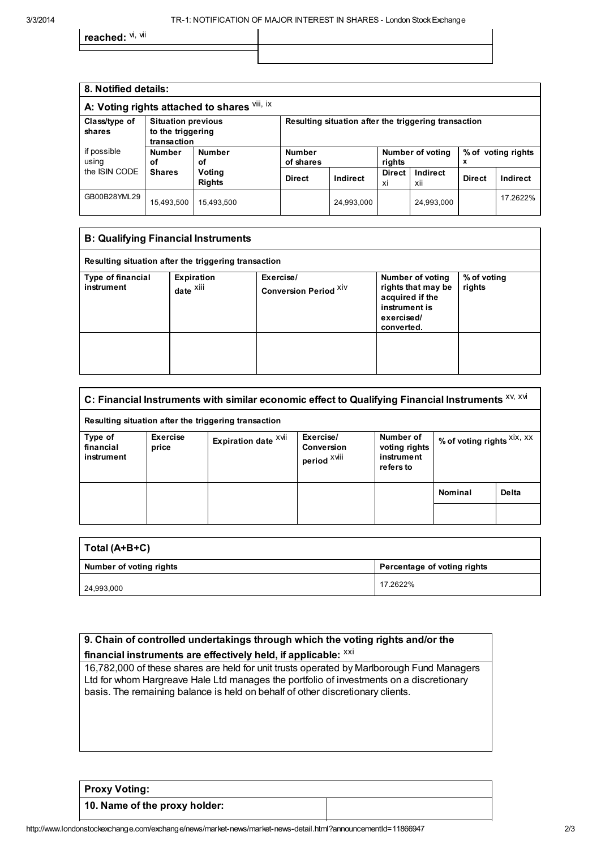reached: <sup>vi, vii</sup>

| 8. Notified details:                         |                                                               |                         |                                                      |            |                     |                  |               |                    |
|----------------------------------------------|---------------------------------------------------------------|-------------------------|------------------------------------------------------|------------|---------------------|------------------|---------------|--------------------|
| A: Voting rights attached to shares vili, ix |                                                               |                         |                                                      |            |                     |                  |               |                    |
| Class/type of<br>shares                      | <b>Situation previous</b><br>to the triggering<br>transaction |                         | Resulting situation after the triggering transaction |            |                     |                  |               |                    |
| if possible<br>using                         | <b>Number</b><br>οf                                           | <b>Number</b><br>οf     | <b>Number</b><br>of shares                           |            | rights              | Number of voting | x             | % of voting rights |
| the ISIN CODE                                | <b>Shares</b>                                                 | Voting<br><b>Rights</b> | <b>Direct</b>                                        | Indirect   | <b>Direct</b><br>xi | Indirect<br>xii  | <b>Direct</b> | Indirect           |
| GB00B28YML29                                 | 15,493,500                                                    | 15,493,500              |                                                      | 24,993,000 |                     | 24,993,000       |               | 17.2622%           |

| <b>B: Qualifying Financial Instruments</b>           |                      |                              |                                                                                    |             |
|------------------------------------------------------|----------------------|------------------------------|------------------------------------------------------------------------------------|-------------|
| Resulting situation after the triggering transaction |                      |                              |                                                                                    |             |
| Type of financial                                    | Expiration           | Exercise/                    | Number of voting                                                                   | % of voting |
| instrument                                           | date <sup>Xiii</sup> | <b>Conversion Period XIV</b> | rights that may be<br>acquired if the<br>instrument is<br>exercised/<br>converted. | rights      |
|                                                      |                      |                              |                                                                                    |             |

| C: Financial Instruments with similar economic effect to Qualifying Financial Instruments XV, XVI |                   |                                                      |                                                           |                                                       |                            |       |
|---------------------------------------------------------------------------------------------------|-------------------|------------------------------------------------------|-----------------------------------------------------------|-------------------------------------------------------|----------------------------|-------|
|                                                                                                   |                   | Resulting situation after the triggering transaction |                                                           |                                                       |                            |       |
| Type of<br>financial<br>instrument                                                                | Exercise<br>price | Expiration date XVII                                 | Exercise/<br><b>Conversion</b><br>period <sup>XVIII</sup> | Number of<br>voting rights<br>instrument<br>refers to | % of voting rights XIX, XX |       |
|                                                                                                   |                   |                                                      |                                                           |                                                       | <b>Nominal</b>             | Delta |
|                                                                                                   |                   |                                                      |                                                           |                                                       |                            |       |

| Total (A+B+C)           |                             |  |
|-------------------------|-----------------------------|--|
| Number of voting rights | Percentage of voting rights |  |
| 24,993,000              | 17.2622%                    |  |

| 9. Chain of controlled undertakings through which the voting rights and/or the                                                                                                                                                                                         |  |  |
|------------------------------------------------------------------------------------------------------------------------------------------------------------------------------------------------------------------------------------------------------------------------|--|--|
| financial instruments are effectively held, if applicable: XXI                                                                                                                                                                                                         |  |  |
| 16,782,000 of these shares are held for unit trusts operated by Marlborough Fund Managers<br>Ltd for whom Hargreave Hale Ltd manages the portfolio of investments on a discretionary<br>basis. The remaining balance is held on behalf of other discretionary clients. |  |  |

| <b>Proxy Voting:</b>          |  |
|-------------------------------|--|
| 10. Name of the proxy holder: |  |